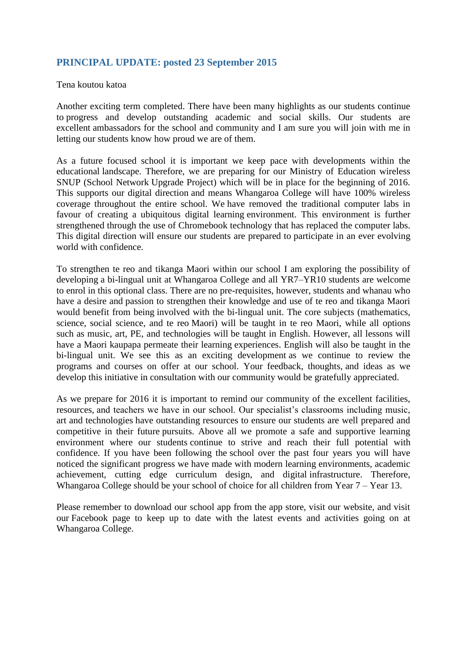## **PRINCIPAL UPDATE: posted 23 September 2015**

### Tena koutou katoa

Another exciting term completed. There have been many highlights as our students continue to progress and develop outstanding academic and social skills. Our students are excellent ambassadors for the school and community and I am sure you will join with me in letting our students know how proud we are of them.

As a future focused school it is important we keep pace with developments within the educational landscape. Therefore, we are preparing for our Ministry of Education wireless SNUP (School Network Upgrade Project) which will be in place for the beginning of 2016. This supports our digital direction and means Whangaroa College will have 100% wireless coverage throughout the entire school. We have removed the traditional computer labs in favour of creating a ubiquitous digital learning environment. This environment is further strengthened through the use of Chromebook technology that has replaced the computer labs. This digital direction will ensure our students are prepared to participate in an ever evolving world with confidence.

To strengthen te reo and tikanga Maori within our school I am exploring the possibility of developing a bi-lingual unit at Whangaroa College and all YR7–YR10 students are welcome to enrol in this optional class. There are no pre-requisites, however, students and whanau who have a desire and passion to strengthen their knowledge and use of te reo and tikanga Maori would benefit from being involved with the bi-lingual unit. The core subjects (mathematics, science, social science, and te reo Maori) will be taught in te reo Maori, while all options such as music, art, PE, and technologies will be taught in English. However, all lessons will have a Maori kaupapa permeate their learning experiences. English will also be taught in the bi-lingual unit. We see this as an exciting development as we continue to review the programs and courses on offer at our school. Your feedback, thoughts, and ideas as we develop this initiative in consultation with our community would be gratefully appreciated.

As we prepare for 2016 it is important to remind our community of the excellent facilities, resources, and teachers we have in our school. Our specialist's classrooms including music, art and technologies have outstanding resources to ensure our students are well prepared and competitive in their future pursuits. Above all we promote a safe and supportive learning environment where our students continue to strive and reach their full potential with confidence. If you have been following the school over the past four years you will have noticed the significant progress we have made with modern learning environments, academic achievement, cutting edge curriculum design, and digital infrastructure. Therefore, Whangaroa College should be your school of choice for all children from Year 7 – Year 13.

Please remember to download our school app from the app store, visit our website, and visit our Facebook page to keep up to date with the latest events and activities going on at Whangaroa College.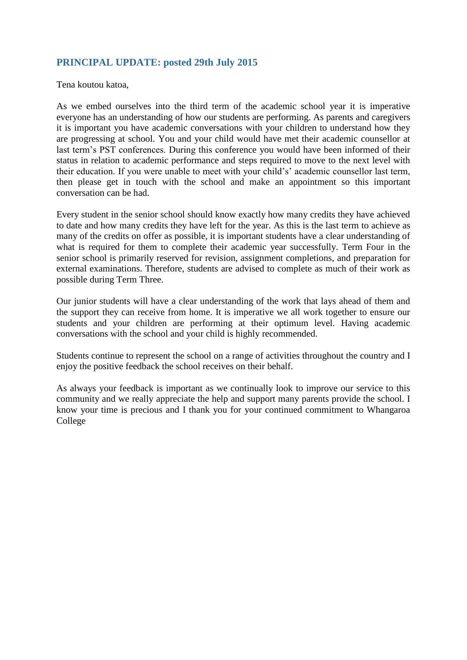# **PRINCIPAL UPDATE: posted 29th July 2015**

Tena koutou katoa,

As we embed ourselves into the third term of the academic school year it is imperative everyone has an understanding of how our students are performing. As parents and caregivers it is important you have academic conversations with your children to understand how they are progressing at school. You and your child would have met their academic counsellor at last term's PST conferences. During this conference you would have been informed of their status in relation to academic performance and steps required to move to the next level with their education. If you were unable to meet with your child's' academic counsellor last term, then please get in touch with the school and make an appointment so this important conversation can be had.

Every student in the senior school should know exactly how many credits they have achieved to date and how many credits they have left for the year. As this is the last term to achieve as many of the credits on offer as possible, it is important students have a clear understanding of what is required for them to complete their academic year successfully. Term Four in the senior school is primarily reserved for revision, assignment completions, and preparation for external examinations. Therefore, students are advised to complete as much of their work as possible during Term Three.

Our junior students will have a clear understanding of the work that lays ahead of them and the support they can receive from home. It is imperative we all work together to ensure our students and your children are performing at their optimum level. Having academic conversations with the school and your child is highly recommended.

Students continue to represent the school on a range of activities throughout the country and I enjoy the positive feedback the school receives on their behalf.

As always your feedback is important as we continually look to improve our service to this community and we really appreciate the help and support many parents provide the school. I know your time is precious and I thank you for your continued commitment to Whangaroa College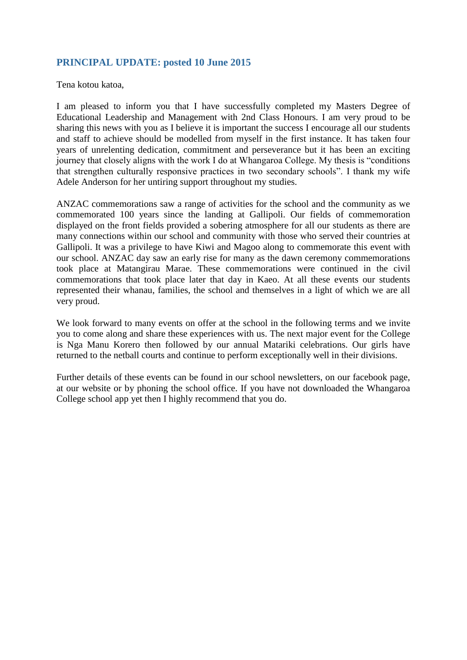# **PRINCIPAL UPDATE: posted 10 June 2015**

Tena kotou katoa,

I am pleased to inform you that I have successfully completed my Masters Degree of Educational Leadership and Management with 2nd Class Honours. I am very proud to be sharing this news with you as I believe it is important the success I encourage all our students and staff to achieve should be modelled from myself in the first instance. It has taken four years of unrelenting dedication, commitment and perseverance but it has been an exciting journey that closely aligns with the work I do at Whangaroa College. My thesis is "conditions that strengthen culturally responsive practices in two secondary schools". I thank my wife Adele Anderson for her untiring support throughout my studies.

ANZAC commemorations saw a range of activities for the school and the community as we commemorated 100 years since the landing at Gallipoli. Our fields of commemoration displayed on the front fields provided a sobering atmosphere for all our students as there are many connections within our school and community with those who served their countries at Gallipoli. It was a privilege to have Kiwi and Magoo along to commemorate this event with our school. ANZAC day saw an early rise for many as the dawn ceremony commemorations took place at Matangirau Marae. These commemorations were continued in the civil commemorations that took place later that day in Kaeo. At all these events our students represented their whanau, families, the school and themselves in a light of which we are all very proud.

We look forward to many events on offer at the school in the following terms and we invite you to come along and share these experiences with us. The next major event for the College is Nga Manu Korero then followed by our annual Matariki celebrations. Our girls have returned to the netball courts and continue to perform exceptionally well in their divisions.

Further details of these events can be found in our school newsletters, on our facebook page, at our website or by phoning the school office. If you have not downloaded the Whangaroa College school app yet then I highly recommend that you do.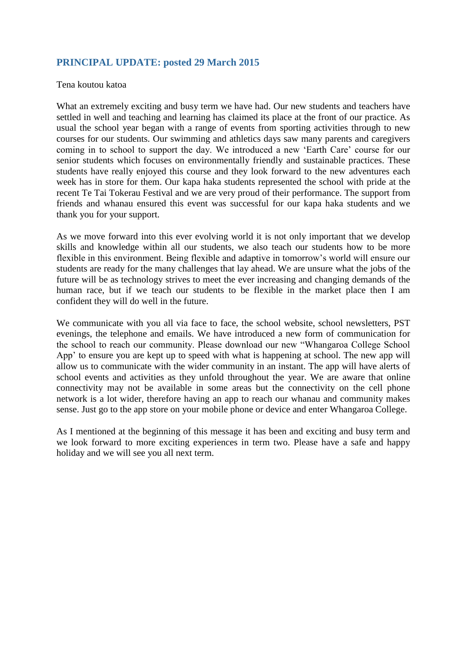## **PRINCIPAL UPDATE: posted 29 March 2015**

#### Tena koutou katoa

What an extremely exciting and busy term we have had. Our new students and teachers have settled in well and teaching and learning has claimed its place at the front of our practice. As usual the school year began with a range of events from sporting activities through to new courses for our students. Our swimming and athletics days saw many parents and caregivers coming in to school to support the day. We introduced a new 'Earth Care' course for our senior students which focuses on environmentally friendly and sustainable practices. These students have really enjoyed this course and they look forward to the new adventures each week has in store for them. Our kapa haka students represented the school with pride at the recent Te Tai Tokerau Festival and we are very proud of their performance. The support from friends and whanau ensured this event was successful for our kapa haka students and we thank you for your support.

As we move forward into this ever evolving world it is not only important that we develop skills and knowledge within all our students, we also teach our students how to be more flexible in this environment. Being flexible and adaptive in tomorrow's world will ensure our students are ready for the many challenges that lay ahead. We are unsure what the jobs of the future will be as technology strives to meet the ever increasing and changing demands of the human race, but if we teach our students to be flexible in the market place then I am confident they will do well in the future.

We communicate with you all via face to face, the school website, school newsletters, PST evenings, the telephone and emails. We have introduced a new form of communication for the school to reach our community. Please download our new "Whangaroa College School App' to ensure you are kept up to speed with what is happening at school. The new app will allow us to communicate with the wider community in an instant. The app will have alerts of school events and activities as they unfold throughout the year. We are aware that online connectivity may not be available in some areas but the connectivity on the cell phone network is a lot wider, therefore having an app to reach our whanau and community makes sense. Just go to the app store on your mobile phone or device and enter Whangaroa College.

As I mentioned at the beginning of this message it has been and exciting and busy term and we look forward to more exciting experiences in term two. Please have a safe and happy holiday and we will see you all next term.